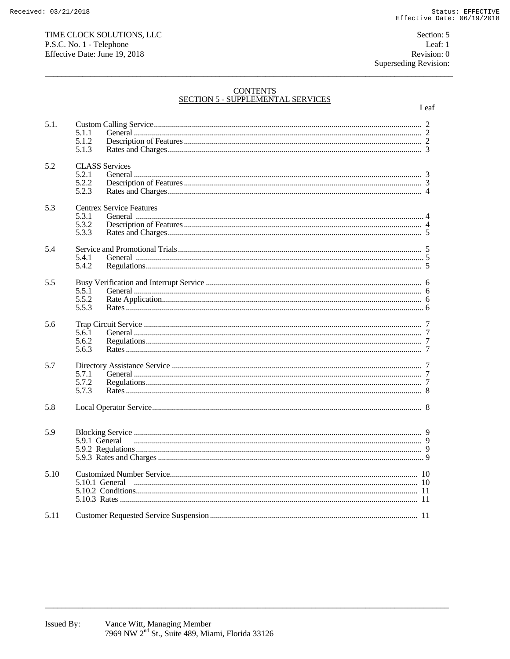# CONTENTS<br>SECTION 5 - SUPPLEMENTAL SERVICES

|      |                         |                                 | Leaf |
|------|-------------------------|---------------------------------|------|
| 5.1. | 5.1.1<br>5.1.2          |                                 |      |
|      | 5.1.3                   |                                 |      |
| 5.2  | 5.2.1<br>5.2.2<br>5.2.3 | <b>CLASS</b> Services           |      |
| 5.3  | 5.3.1<br>5.3.2<br>5.3.3 | <b>Centrex Service Features</b> |      |
| 5.4  | 5.4.1<br>5.4.2          |                                 |      |
| 5.5  | 5.5.1<br>5.5.2<br>5.5.3 |                                 |      |
| 5.6  | 5.6.1<br>5.6.2<br>5.6.3 |                                 |      |
| 5.7  | 5.7.1<br>5.7.2<br>5.7.3 |                                 |      |
| 5.8  |                         |                                 |      |
| 5.9  |                         |                                 |      |
| 5.10 |                         |                                 |      |
| 5.11 |                         |                                 |      |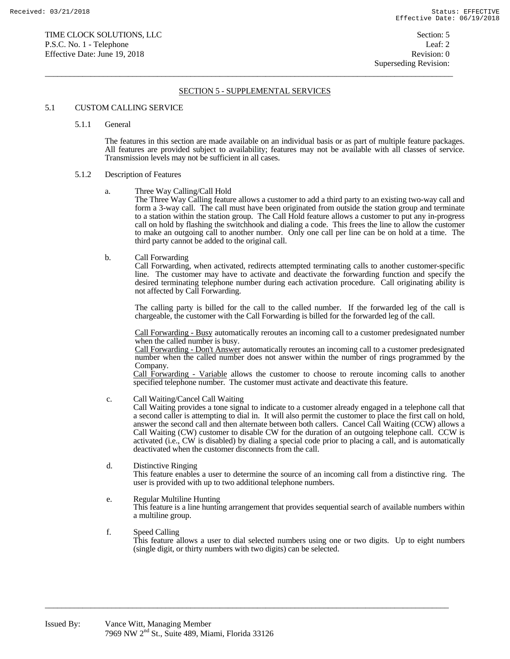# SECTION 5 - SUPPLEMENTAL SERVICES

 $\overline{a}$  , and the state of the state of the state of the state of the state of the state of the state of the state of the state of the state of the state of the state of the state of the state of the state of the state o

# 5.1 CUSTOM CALLING SERVICE

5.1.1 General

 The features in this section are made available on an individual basis or as part of multiple feature packages. All features are provided subject to availability; features may not be available with all classes of service. Transmission levels may not be sufficient in all cases.

## 5.1.2 Description of Features

a. Three Way Calling/Call Hold

 The Three Way Calling feature allows a customer to add a third party to an existing two-way call and form a 3-way call. The call must have been originated from outside the station group and terminate to a station within the station group. The Call Hold feature allows a customer to put any in-progress call on hold by flashing the switchhook and dialing a code. This frees the line to allow the customer to make an outgoing call to another number. Only one call per line can be on hold at a time. The third party cannot be added to the original call.

b. Call Forwarding

 Call Forwarding, when activated, redirects attempted terminating calls to another customer-specific line. The customer may have to activate and deactivate the forwarding function and specify the desired terminating telephone number during each activation procedure. Call originating ability is not affected by Call Forwarding.

 The calling party is billed for the call to the called number. If the forwarded leg of the call is chargeable, the customer with the Call Forwarding is billed for the forwarded leg of the call.

 Call Forwarding - Busy automatically reroutes an incoming call to a customer predesignated number when the called number is busy.

 Call Forwarding - Don't Answer automatically reroutes an incoming call to a customer predesignated number when the called number does not answer within the number of rings programmed by the Company.

 Call Forwarding - Variable allows the customer to choose to reroute incoming calls to another specified telephone number. The customer must activate and deactivate this feature.

c. Call Waiting/Cancel Call Waiting

 Call Waiting provides a tone signal to indicate to a customer already engaged in a telephone call that a second caller is attempting to dial in. It will also permit the customer to place the first call on hold, answer the second call and then alternate between both callers. Cancel Call Waiting (CCW) allows a Call Waiting (CW) customer to disable CW for the duration of an outgoing telephone call. CCW is activated (i.e., CW is disabled) by dialing a special code prior to placing a call, and is automatically deactivated when the customer disconnects from the call.

 d. Distinctive Ringing This feature enables a user to determine the source of an incoming call from a distinctive ring. The user is provided with up to two additional telephone numbers.

# e. Regular Multiline Hunting

 This feature is a line hunting arrangement that provides sequential search of available numbers within a multiline group.

 f. Speed Calling This feature allows a user to dial selected numbers using one or two digits. Up to eight numbers (single digit, or thirty numbers with two digits) can be selected.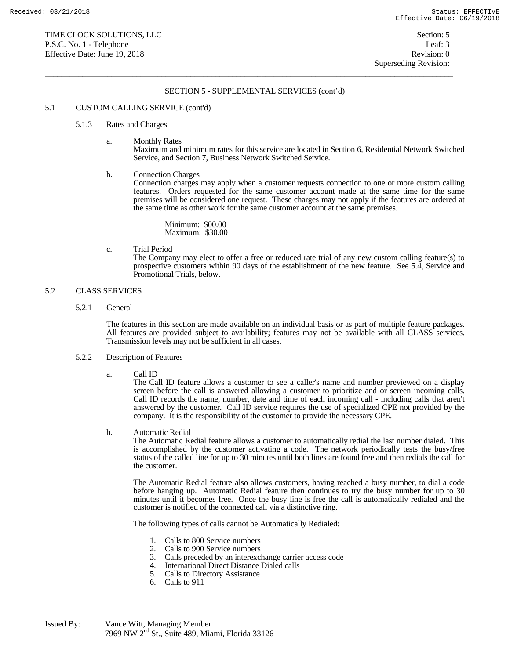$\overline{a}$  , and the state of the state of the state of the state of the state of the state of the state of the state of the state of the state of the state of the state of the state of the state of the state of the state o

## 5.1 CUSTOM CALLING SERVICE (cont'd)

#### 5.1.3 Rates and Charges

a. Monthly Rates

 Maximum and minimum rates for this service are located in Section 6, Residential Network Switched Service, and Section 7, Business Network Switched Service.

b. Connection Charges

 Connection charges may apply when a customer requests connection to one or more custom calling features. Orders requested for the same customer account made at the same time for the same premises will be considered one request. These charges may not apply if the features are ordered at the same time as other work for the same customer account at the same premises.

 Minimum: \$00.00 Maximum: \$30.00

c. Trial Period

 The Company may elect to offer a free or reduced rate trial of any new custom calling feature(s) to prospective customers within 90 days of the establishment of the new feature. See 5.4, Service and Promotional Trials, below.

# 5.2 CLASS SERVICES

5.2.1 General

 The features in this section are made available on an individual basis or as part of multiple feature packages. All features are provided subject to availability; features may not be available with all CLASS services. Transmission levels may not be sufficient in all cases.

# 5.2.2 Description of Features

a. Call ID

 The Call ID feature allows a customer to see a caller's name and number previewed on a display screen before the call is answered allowing a customer to prioritize and or screen incoming calls. Call ID records the name, number, date and time of each incoming call - including calls that aren't answered by the customer. Call ID service requires the use of specialized CPE not provided by the company. It is the responsibility of the customer to provide the necessary CPE.

b. Automatic Redial

 The Automatic Redial feature allows a customer to automatically redial the last number dialed. This is accomplished by the customer activating a code. The network periodically tests the busy/free status of the called line for up to 30 minutes until both lines are found free and then redials the call for the customer.

 The Automatic Redial feature also allows customers, having reached a busy number, to dial a code before hanging up. Automatic Redial feature then continues to try the busy number for up to 30 minutes until it becomes free. Once the busy line is free the call is automatically redialed and the customer is notified of the connected call via a distinctive ring.

The following types of calls cannot be Automatically Redialed:

- 1. Calls to 800 Service numbers<br>2. Calls to 900 Service numbers
- 2. Calls to 900 Service numbers<br>3. Calls preceded by an interexcl
- 3. Calls preceded by an interexchange carrier access code

- 4. International Direct Distance Dialed calls<br>5. Calls to Directory Assistance
- 5. Calls to Directory Assistance
- 6. Calls to 911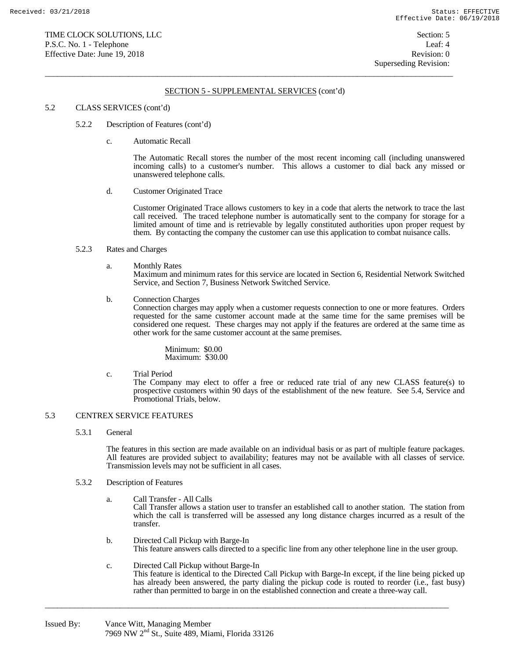$\overline{a}$  , and the state of the state of the state of the state of the state of the state of the state of the state of the state of the state of the state of the state of the state of the state of the state of the state o

# 5.2 CLASS SERVICES (cont'd)

- 5.2.2 Description of Features (cont'd)
	- c. Automatic Recall

 The Automatic Recall stores the number of the most recent incoming call (including unanswered incoming calls) to a customer's number. This allows a customer to dial back any missed or unanswered telephone calls.

d. Customer Originated Trace

 Customer Originated Trace allows customers to key in a code that alerts the network to trace the last call received. The traced telephone number is automatically sent to the company for storage for a limited amount of time and is retrievable by legally constituted authorities upon proper request by them. By contacting the company the customer can use this application to combat nuisance calls.

## 5.2.3 Rates and Charges

a. Monthly Rates

 Maximum and minimum rates for this service are located in Section 6, Residential Network Switched Service, and Section 7, Business Network Switched Service.

b. Connection Charges

 Connection charges may apply when a customer requests connection to one or more features. Orders requested for the same customer account made at the same time for the same premises will be considered one request. These charges may not apply if the features are ordered at the same time as other work for the same customer account at the same premises.

 Minimum: \$0.00 Maximum: \$30.00

c. Trial Period

 The Company may elect to offer a free or reduced rate trial of any new CLASS feature(s) to prospective customers within 90 days of the establishment of the new feature. See 5.4, Service and Promotional Trials, below.

# 5.3 CENTREX SERVICE FEATURES

5.3.1 General

 The features in this section are made available on an individual basis or as part of multiple feature packages. All features are provided subject to availability; features may not be available with all classes of service. Transmission levels may not be sufficient in all cases.

- 5.3.2 Description of Features
	- a. Call Transfer All Calls

 Call Transfer allows a station user to transfer an established call to another station. The station from which the call is transferred will be assessed any long distance charges incurred as a result of the transfer.

- b. Directed Call Pickup with Barge-In This feature answers calls directed to a specific line from any other telephone line in the user group.
- c. Directed Call Pickup without Barge-In This feature is identical to the Directed Call Pickup with Barge-In except, if the line being picked up has already been answered, the party dialing the pickup code is routed to reorder (i.e., fast busy) rather than permitted to barge in on the established connection and create a three-way call.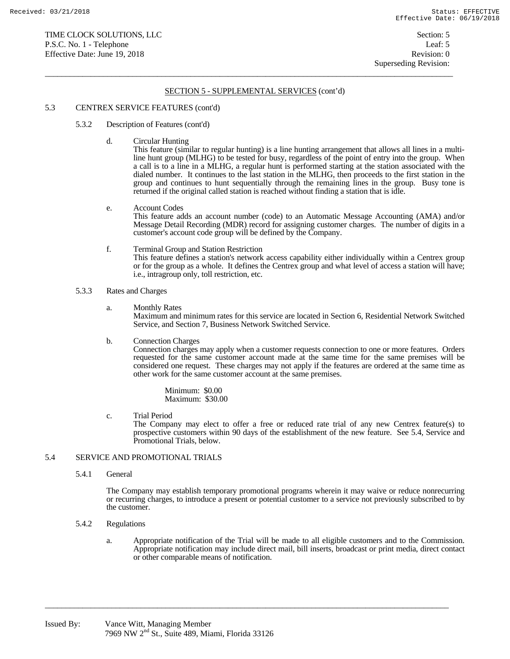$\overline{a}$  , and the state of the state of the state of the state of the state of the state of the state of the state of the state of the state of the state of the state of the state of the state of the state of the state o

## 5.3 CENTREX SERVICE FEATURES (cont'd)

- 5.3.2 Description of Features (cont'd)
	- d. Circular Hunting

 This feature (similar to regular hunting) is a line hunting arrangement that allows all lines in a multiline hunt group (MLHG) to be tested for busy, regardless of the point of entry into the group. When a call is to a line in a MLHG, a regular hunt is performed starting at the station associated with the dialed number. It continues to the last station in the MLHG, then proceeds to the first station in the group and continues to hunt sequentially through the remaining lines in the group. Busy tone is returned if the original called station is reached without finding a station that is idle.

# e. Account Codes This feature adds an account number (code) to an Automatic Message Accounting (AMA) and/or Message Detail Recording (MDR) record for assigning customer charges. The number of digits in a customer's account code group will be defined by the Company.

 f. Terminal Group and Station Restriction This feature defines a station's network access capability either individually within a Centrex group or for the group as a whole. It defines the Centrex group and what level of access a station will have; i.e., intragroup only, toll restriction, etc.

## 5.3.3 Rates and Charges

- a. Monthly Rates Maximum and minimum rates for this service are located in Section 6, Residential Network Switched Service, and Section 7, Business Network Switched Service.
- b. Connection Charges

 Connection charges may apply when a customer requests connection to one or more features. Orders requested for the same customer account made at the same time for the same premises will be considered one request. These charges may not apply if the features are ordered at the same time as other work for the same customer account at the same premises.

 Minimum: \$0.00 Maximum: \$30.00

c. Trial Period

 The Company may elect to offer a free or reduced rate trial of any new Centrex feature(s) to prospective customers within 90 days of the establishment of the new feature. See 5.4, Service and Promotional Trials, below.

# 5.4 SERVICE AND PROMOTIONAL TRIALS

5.4.1 General

 The Company may establish temporary promotional programs wherein it may waive or reduce nonrecurring or recurring charges, to introduce a present or potential customer to a service not previously subscribed to by the customer.

- 5.4.2 Regulations
	- a. Appropriate notification of the Trial will be made to all eligible customers and to the Commission. Appropriate notification may include direct mail, bill inserts, broadcast or print media, direct contact or other comparable means of notification.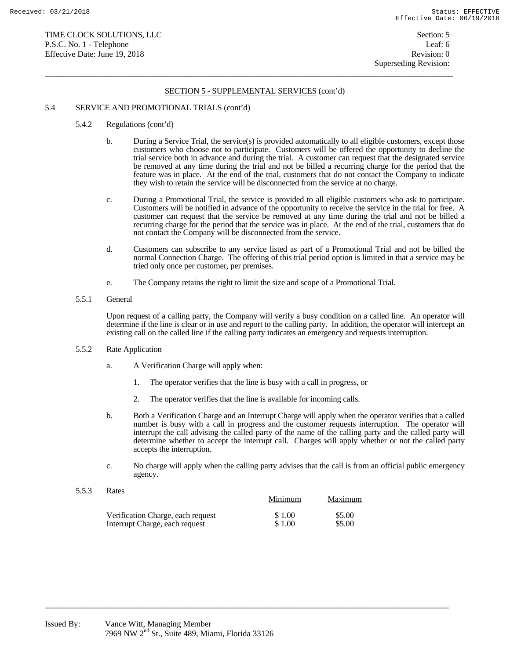$\overline{a}$  , and the state of the state of the state of the state of the state of the state of the state of the state of the state of the state of the state of the state of the state of the state of the state of the state o

# 5.4 SERVICE AND PROMOTIONAL TRIALS (cont'd)

- 5.4.2 Regulations (cont'd)
	- b. During a Service Trial, the service(s) is provided automatically to all eligible customers, except those customers who choose not to participate. Customers will be offered the opportunity to decline the trial service both in advance and during the trial. A customer can request that the designated service be removed at any time during the trial and not be billed a recurring charge for the period that the feature was in place. At the end of the trial, customers that do not contact the Company to indicate they wish to retain the service will be disconnected from the service at no charge.
	- c. During a Promotional Trial, the service is provided to all eligible customers who ask to participate. Customers will be notified in advance of the opportunity to receive the service in the trial for free. A customer can request that the service be removed at any time during the trial and not be billed a recurring charge for the period that the service was in place. At the end of the trial, customers that do not contact the Company will be disconnected from the service.
	- d. Customers can subscribe to any service listed as part of a Promotional Trial and not be billed the normal Connection Charge. The offering of this trial period option is limited in that a service may be tried only once per customer, per premises.
	- e. The Company retains the right to limit the size and scope of a Promotional Trial.
- 5.5.1 General

 Upon request of a calling party, the Company will verify a busy condition on a called line. An operator will determine if the line is clear or in use and report to the calling party. In addition, the operator will intercept an existing call on the called line if the calling party indicates an emergency and requests interruption.

- 5.5.2 Rate Application
	- a. A Verification Charge will apply when:
		- 1. The operator verifies that the line is busy with a call in progress, or
		- 2. The operator verifies that the line is available for incoming calls.
	- b. Both a Verification Charge and an Interrupt Charge will apply when the operator verifies that a called number is busy with a call in progress and the customer requests interruption. The operator will interrupt the call advising the called party of the name of the calling party and the called party will determine whether to accept the interrupt call. Charges will apply whether or not the called party accepts the interruption.
	- c. No charge will apply when the calling party advises that the call is from an official public emergency agency.
- 5.5.3 Rates Minimum Maximum Verification Charge, each request  $$ 1.00$   $$5.00$ Interrupt Charge, each request  $$ 1.00$   $$5.00$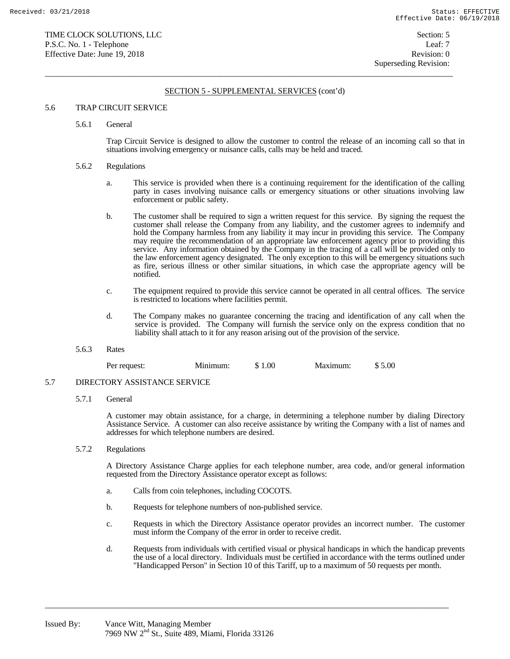$\overline{a}$  , and the state of the state of the state of the state of the state of the state of the state of the state of the state of the state of the state of the state of the state of the state of the state of the state o

## 5.6 TRAP CIRCUIT SERVICE

## 5.6.1 General

 Trap Circuit Service is designed to allow the customer to control the release of an incoming call so that in situations involving emergency or nuisance calls, calls may be held and traced.

#### 5.6.2 Regulations

- a. This service is provided when there is a continuing requirement for the identification of the calling party in cases involving nuisance calls or emergency situations or other situations involving law enforcement or public safety.
- b. The customer shall be required to sign a written request for this service. By signing the request the customer shall release the Company from any liability, and the customer agrees to indemnify and hold the Company harmless from any liability it may incur in providing this service. The Company may require the recommendation of an appropriate law enforcement agency prior to providing this service. Any information obtained by the Company in the tracing of a call will be provided only to the law enforcement agency designated. The only exception to this will be emergency situations such as fire, serious illness or other similar situations, in which case the appropriate agency will be notified.
- c. The equipment required to provide this service cannot be operated in all central offices. The service is restricted to locations where facilities permit.
- d. The Company makes no guarantee concerning the tracing and identification of any call when the service is provided. The Company will furnish the service only on the express condition that no liability shall attach to it for any reason arising out of the provision of the service.
- 5.6.3 Rates

| Per request: | Minimum: | 00.1<br>$\triangleright$<br>۰D. | Maximum: | 0.00<br>$\triangle$<br>۰D |
|--------------|----------|---------------------------------|----------|---------------------------|
|--------------|----------|---------------------------------|----------|---------------------------|

## 5.7 DIRECTORY ASSISTANCE SERVICE

5.7.1 General

 A customer may obtain assistance, for a charge, in determining a telephone number by dialing Directory Assistance Service. A customer can also receive assistance by writing the Company with a list of names and addresses for which telephone numbers are desired.

5.7.2 Regulations

 A Directory Assistance Charge applies for each telephone number, area code, and/or general information requested from the Directory Assistance operator except as follows:

- a. Calls from coin telephones, including COCOTS.
- b. Requests for telephone numbers of non-published service.
- c. Requests in which the Directory Assistance operator provides an incorrect number. The customer must inform the Company of the error in order to receive credit.
- d. Requests from individuals with certified visual or physical handicaps in which the handicap prevents the use of a local directory. Individuals must be certified in accordance with the terms outlined under "Handicapped Person" in Section 10 of this Tariff, up to a maximum of 50 requests per month.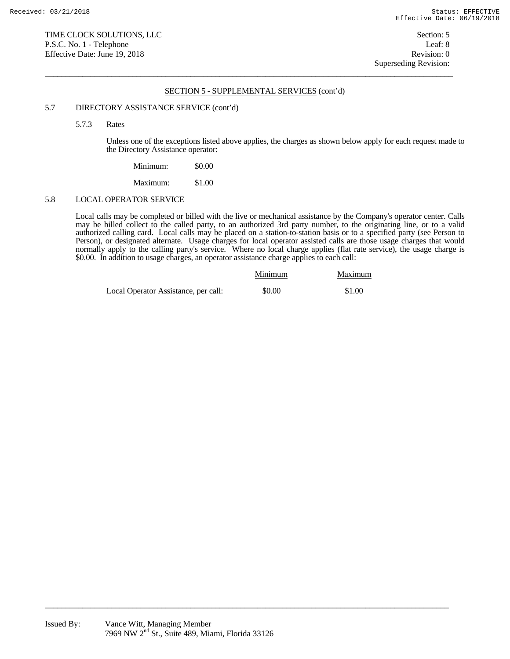$\overline{a}$  , and the state of the state of the state of the state of the state of the state of the state of the state of the state of the state of the state of the state of the state of the state of the state of the state o

## 5.7 DIRECTORY ASSISTANCE SERVICE (cont'd)

5.7.3 Rates

 Unless one of the exceptions listed above applies, the charges as shown below apply for each request made to the Directory Assistance operator:

| Minimum: | \$0.00 |
|----------|--------|
| Maximum: | \$1.00 |

## 5.8 LOCAL OPERATOR SERVICE

 Local calls may be completed or billed with the live or mechanical assistance by the Company's operator center. Calls may be billed collect to the called party, to an authorized 3rd party number, to the originating line, or to a valid authorized calling card. Local calls may be placed on a station-to-station basis or to a specified party (see Person to Person), or designated alternate. Usage charges for local operator assisted calls are those usage charges that would normally apply to the calling party's service. Where no local charge applies (flat rate service), the usage charge is \$0.00. In addition to usage charges, an operator assistance charge applies to each call:

|                                      | Minimum | Maximum |
|--------------------------------------|---------|---------|
| Local Operator Assistance, per call: | \$0.00  | \$1.00  |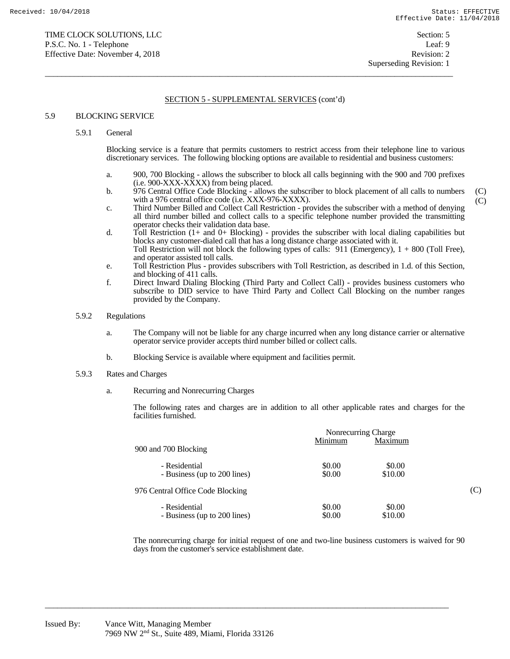(C) (C)

Superseding Revision: 1

# SECTION 5 - SUPPLEMENTAL SERVICES (cont'd)

 $\overline{a}$  , and the state of the state of the state of the state of the state of the state of the state of the state of the state of the state of the state of the state of the state of the state of the state of the state o

## 5.9 BLOCKING SERVICE

# 5.9.1 General

 Blocking service is a feature that permits customers to restrict access from their telephone line to various discretionary services. The following blocking options are available to residential and business customers:

- a. 900, 700 Blocking allows the subscriber to block all calls beginning with the 900 and 700 prefixes (i.e. 900-XXX-XXXX) from being placed.
- b. 976 Central Office Code Blocking allows the subscriber to block placement of all calls to numbers with a 976 central office code (i.e. XXX-976-XXXX).
- c. Third Number Billed and Collect Call Restriction provides the subscriber with a method of denying all third number billed and collect calls to a specific telephone number provided the transmitting operator checks their validation data base.
- d. Toll Restriction (1+ and 0+ Blocking) provides the subscriber with local dialing capabilities but blocks any customer-dialed call that has a long distance charge associated with it. Toll Restriction will not block the following types of calls: 911 (Emergency), 1 + 800 (Toll Free), and operator assisted toll calls.
- e. Toll Restriction Plus provides subscribers with Toll Restriction, as described in 1.d. of this Section, and blocking of 411 calls.
- f. Direct Inward Dialing Blocking (Third Party and Collect Call) provides business customers who subscribe to DID service to have Third Party and Collect Call Blocking on the number ranges provided by the Company.

## 5.9.2 Regulations

- a. The Company will not be liable for any charge incurred when any long distance carrier or alternative operator service provider accepts third number billed or collect calls.
- b. Blocking Service is available where equipment and facilities permit.

# 5.9.3 Rates and Charges

a. Recurring and Nonrecurring Charges

 The following rates and charges are in addition to all other applicable rates and charges for the facilities furnished.

|                                  | Nonrecurring Charge |         |     |
|----------------------------------|---------------------|---------|-----|
| 900 and 700 Blocking             | Minimum             | Maximum |     |
| - Residential                    | \$0.00              | \$0.00  |     |
| - Business (up to 200 lines)     | \$0.00              | \$10.00 |     |
| 976 Central Office Code Blocking |                     |         | (C) |
| - Residential                    | \$0.00              | \$0.00  |     |
| - Business (up to 200 lines)     | \$0.00              | \$10.00 |     |

 The nonrecurring charge for initial request of one and two-line business customers is waived for 90 days from the customer's service establishment date.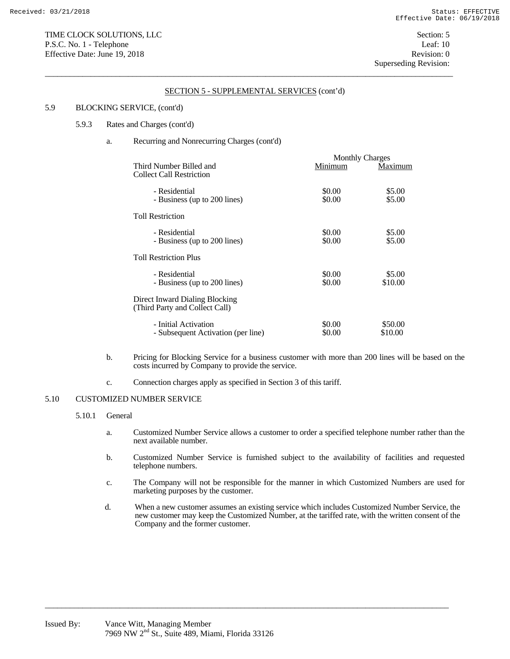## 5.9 BLOCKING SERVICE, (cont'd)

## 5.9.3 Rates and Charges (cont'd)

# a. Recurring and Nonrecurring Charges (cont'd)

|                                                                  |                  | <b>Monthly Charges</b> |  |
|------------------------------------------------------------------|------------------|------------------------|--|
| Third Number Billed and<br><b>Collect Call Restriction</b>       | Minimum          | Maximum                |  |
| - Residential<br>- Business (up to 200 lines)                    | \$0.00<br>\$0.00 | \$5.00<br>\$5.00       |  |
| <b>Toll Restriction</b>                                          |                  |                        |  |
| - Residential<br>- Business (up to 200 lines)                    | \$0.00<br>\$0.00 | \$5.00<br>\$5.00       |  |
| <b>Toll Restriction Plus</b>                                     |                  |                        |  |
| - Residential<br>- Business (up to 200 lines)                    | \$0.00<br>\$0.00 | \$5.00<br>\$10.00      |  |
| Direct Inward Dialing Blocking<br>(Third Party and Collect Call) |                  |                        |  |
| - Initial Activation<br>- Subsequent Activation (per line)       | \$0.00<br>\$0.00 | \$50.00<br>\$10.00     |  |

- b. Pricing for Blocking Service for a business customer with more than 200 lines will be based on the costs incurred by Company to provide the service.
- c. Connection charges apply as specified in Section 3 of this tariff.

# 5.10 CUSTOMIZED NUMBER SERVICE

# 5.10.1 General

- a. Customized Number Service allows a customer to order a specified telephone number rather than the next available number.
- b. Customized Number Service is furnished subject to the availability of facilities and requested telephone numbers.
- c. The Company will not be responsible for the manner in which Customized Numbers are used for marketing purposes by the customer.
- d. When a new customer assumes an existing service which includes Customized Number Service, the new customer may keep the Customized Number, at the tariffed rate, with the written consent of the Company and the former customer.